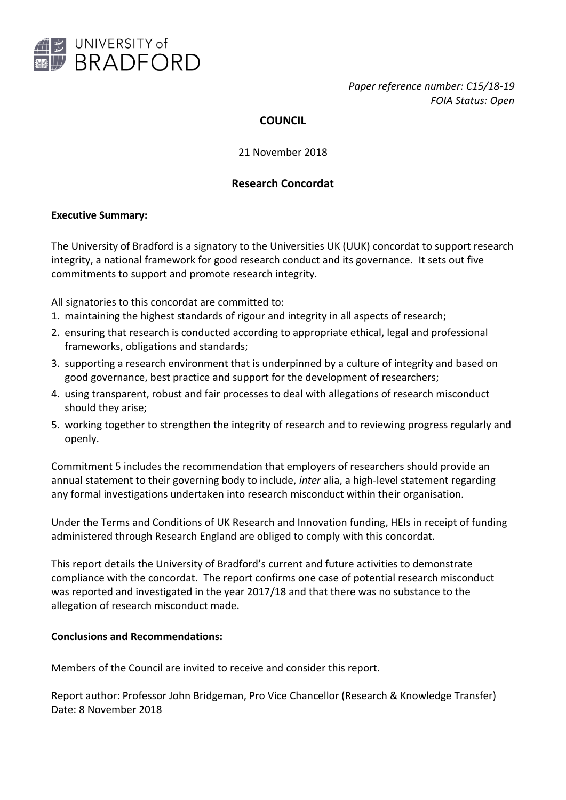

*Paper reference number: C15/18-19 FOIA Status: Open*

# **COUNCIL**

21 November 2018

# **Research Concordat**

### **Executive Summary:**

The University of Bradford is a signatory to the Universities UK (UUK) concordat to support research integrity, a national framework for good research conduct and its governance. It sets out five commitments to support and promote research integrity.

All signatories to this concordat are committed to:

- 1. maintaining the highest standards of rigour and integrity in all aspects of research;
- 2. ensuring that research is conducted according to appropriate ethical, legal and professional frameworks, obligations and standards;
- 3. supporting a research environment that is underpinned by a culture of integrity and based on good governance, best practice and support for the development of researchers;
- 4. using transparent, robust and fair processes to deal with allegations of research misconduct should they arise;
- 5. working together to strengthen the integrity of research and to reviewing progress regularly and openly.

Commitment 5 includes the recommendation that employers of researchers should provide an annual statement to their governing body to include, *inter* alia, a high-level statement regarding any formal investigations undertaken into research misconduct within their organisation.

Under the Terms and Conditions of UK Research and Innovation funding, HEIs in receipt of funding administered through Research England are obliged to comply with this concordat.

This report details the University of Bradford's current and future activities to demonstrate compliance with the concordat. The report confirms one case of potential research misconduct was reported and investigated in the year 2017/18 and that there was no substance to the allegation of research misconduct made.

#### **Conclusions and Recommendations:**

Members of the Council are invited to receive and consider this report.

Report author: Professor John Bridgeman, Pro Vice Chancellor (Research & Knowledge Transfer) Date: 8 November 2018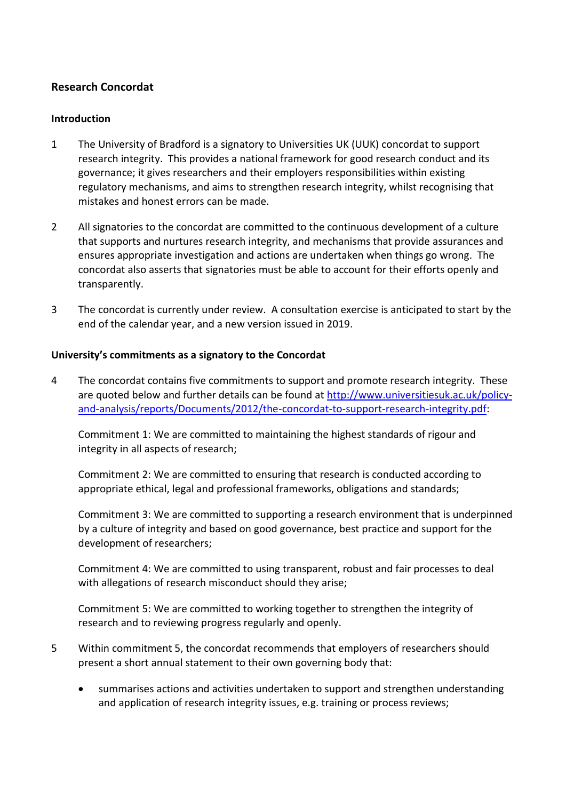## **Research Concordat**

### **Introduction**

- 1 The University of Bradford is a signatory to Universities UK (UUK) concordat to support research integrity. This provides a national framework for good research conduct and its governance; it gives researchers and their employers responsibilities within existing regulatory mechanisms, and aims to strengthen research integrity, whilst recognising that mistakes and honest errors can be made.
- 2 All signatories to the concordat are committed to the continuous development of a culture that supports and nurtures research integrity, and mechanisms that provide assurances and ensures appropriate investigation and actions are undertaken when things go wrong. The concordat also asserts that signatories must be able to account for their efforts openly and transparently.
- 3 The concordat is currently under review. A consultation exercise is anticipated to start by the end of the calendar year, and a new version issued in 2019.

### **University's commitments as a signatory to the Concordat**

4 The concordat contains five commitments to support and promote research integrity. These are quoted below and further details can be found at [http://www.universitiesuk.ac.uk/policy](http://www.universitiesuk.ac.uk/policy-and-analysis/reports/Documents/2012/the-concordat-to-support-research-integrity.pdf)[and-analysis/reports/Documents/2012/the-concordat-to-support-research-integrity.pdf:](http://www.universitiesuk.ac.uk/policy-and-analysis/reports/Documents/2012/the-concordat-to-support-research-integrity.pdf)

Commitment 1: We are committed to maintaining the highest standards of rigour and integrity in all aspects of research;

Commitment 2: We are committed to ensuring that research is conducted according to appropriate ethical, legal and professional frameworks, obligations and standards;

Commitment 3: We are committed to supporting a research environment that is underpinned by a culture of integrity and based on good governance, best practice and support for the development of researchers;

Commitment 4: We are committed to using transparent, robust and fair processes to deal with allegations of research misconduct should they arise;

Commitment 5: We are committed to working together to strengthen the integrity of research and to reviewing progress regularly and openly.

- 5 Within commitment 5, the concordat recommends that employers of researchers should present a short annual statement to their own governing body that:
	- summarises actions and activities undertaken to support and strengthen understanding and application of research integrity issues, e.g. training or process reviews;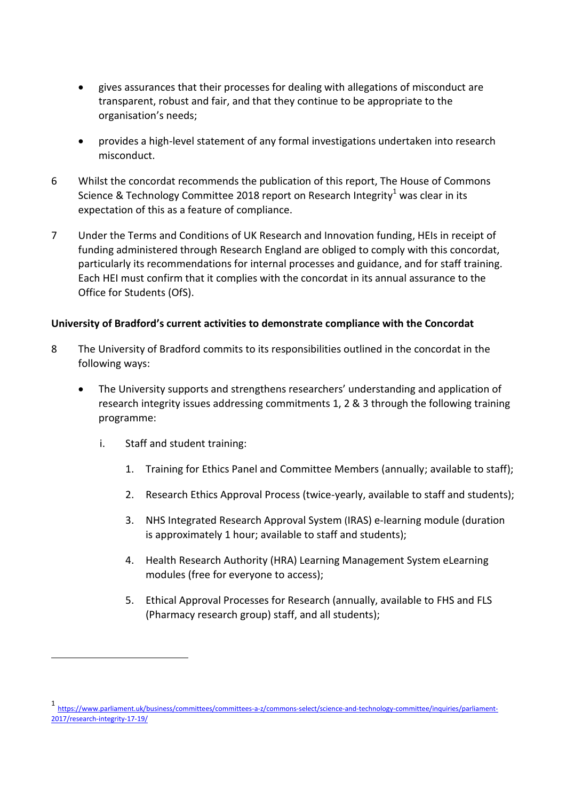- gives assurances that their processes for dealing with allegations of misconduct are transparent, robust and fair, and that they continue to be appropriate to the organisation's needs;
- provides a high-level statement of any formal investigations undertaken into research misconduct.
- 6 Whilst the concordat recommends the publication of this report, The House of Commons Science & Technology Committee 2018 report on Research Integrity<sup>1</sup> was clear in its expectation of this as a feature of compliance.
- 7 Under the Terms and Conditions of UK Research and Innovation funding, HEIs in receipt of funding administered through Research England are obliged to comply with this concordat, particularly its recommendations for internal processes and guidance, and for staff training. Each HEI must confirm that it complies with the concordat in its annual assurance to the Office for Students (OfS).

### **University of Bradford's current activities to demonstrate compliance with the Concordat**

- 8 The University of Bradford commits to its responsibilities outlined in the concordat in the following ways:
	- The University supports and strengthens researchers' understanding and application of research integrity issues addressing commitments 1, 2 & 3 through the following training programme:
		- i. Staff and student training:

-

- 1. Training for Ethics Panel and Committee Members (annually; available to staff);
- 2. Research Ethics Approval Process (twice-yearly, available to staff and students);
- 3. NHS Integrated Research Approval System (IRAS) e-learning module (duration is approximately 1 hour; available to staff and students);
- 4. Health Research Authority (HRA) Learning Management System eLearning modules (free for everyone to access);
- 5. Ethical Approval Processes for Research (annually, available to FHS and FLS (Pharmacy research group) staff, and all students);

<sup>1</sup> https://www.parliament.uk/business/committees/committees-a-z/commons-select/science-and-technology-committee/inquiries/parliament-2017/research-integrity-17-19/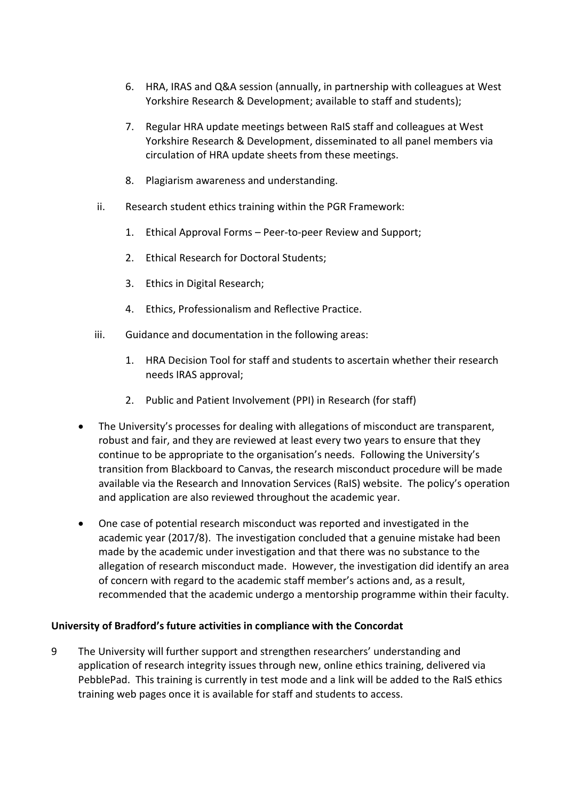- 6. HRA, IRAS and Q&A session (annually, in partnership with colleagues at West Yorkshire Research & Development; available to staff and students);
- 7. Regular HRA update meetings between RaIS staff and colleagues at West Yorkshire Research & Development, disseminated to all panel members via circulation of HRA update sheets from these meetings.
- 8. Plagiarism awareness and understanding.
- ii. Research student ethics training within the PGR Framework:
	- 1. Ethical Approval Forms Peer-to-peer Review and Support;
	- 2. Ethical Research for Doctoral Students;
	- 3. Ethics in Digital Research;
	- 4. Ethics, Professionalism and Reflective Practice.
- iii. Guidance and documentation in the following areas:
	- 1. HRA Decision Tool for staff and students to ascertain whether their research needs IRAS approval;
	- 2. Public and Patient Involvement (PPI) in Research (for staff)
- The University's processes for dealing with allegations of misconduct are transparent, robust and fair, and they are reviewed at least every two years to ensure that they continue to be appropriate to the organisation's needs. Following the University's transition from Blackboard to Canvas, the research misconduct procedure will be made available via the Research and Innovation Services (RaIS) website. The policy's operation and application are also reviewed throughout the academic year.
- One case of potential research misconduct was reported and investigated in the academic year (2017/8). The investigation concluded that a genuine mistake had been made by the academic under investigation and that there was no substance to the allegation of research misconduct made. However, the investigation did identify an area of concern with regard to the academic staff member's actions and, as a result, recommended that the academic undergo a mentorship programme within their faculty.

#### **University of Bradford's future activities in compliance with the Concordat**

9 The University will further support and strengthen researchers' understanding and application of research integrity issues through new, online ethics training, delivered via PebblePad. This training is currently in test mode and a link will be added to the RaIS ethics training web pages once it is available for staff and students to access.